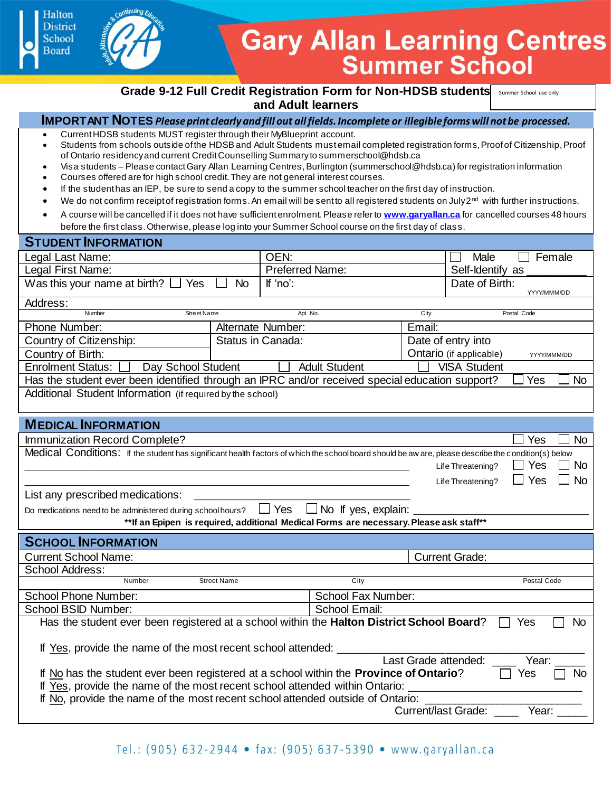## **Gary Allan Learning Centres Summer School**

**Grade 9-12 Full Credit Registration Form for Non-HDSB students summer school use only and Adult learners**

### **IMPORTANT NOTES:**  Download this form to your computer with a new file name prior to completion.

- Current HDSB students MUST register through their MyBlueprint account.
- Students from schools outside of the HDSB and Adult Students must email completed registration forms, Proof of Citizenship, Proof of Ontario residencyand current Credit Counselling Summary to summerschool@hdsb.ca
- Visa students Please contact Gary Allan Learning Centres, Burlington (summerschool@hdsb.ca) for registration information
- Courses offered are for high school credit. They are not general interest courses.
- If the student has an IEP, be sure to send a copy to the summer school teacher on the first day of instruction.
- We do not confirm receipt of registration forms. An email will be sent to all registered students on July  $2^{nd}$  with further instructions.
- A course will be cancelled if it does not have sufficient enrolment. Please refer to **www.garyallan.ca** for cancelled courses 48 hours before the first class. Otherwise, please log into your Summer School course on the first day of clas s.

#### **STUDENT INFORMATION**

**Halton** District

School

| $190$ $-111$ $-111$ $-111$                                                                                                                            |                    |                        |                      |                         |                       |             |           |
|-------------------------------------------------------------------------------------------------------------------------------------------------------|--------------------|------------------------|----------------------|-------------------------|-----------------------|-------------|-----------|
| Legal Last Name:                                                                                                                                      |                    | OEN:                   |                      |                         | Male                  |             | Female    |
| Legal First Name:                                                                                                                                     |                    | <b>Preferred Name:</b> |                      |                         | Self-Identify as      |             |           |
| Was this your name at birth? $\Box$ Yes                                                                                                               | <b>No</b>          | If 'no':               |                      |                         | Date of Birth:        | YYYY/MMM/DD |           |
| Address:                                                                                                                                              |                    |                        |                      |                         |                       |             |           |
| Number<br><b>Street Name</b>                                                                                                                          |                    | Apt. No.               |                      | City                    |                       | Postal Code |           |
| Phone Number:                                                                                                                                         | Alternate Number:  |                        | Email:               |                         |                       |             |           |
| Country of Citizenship:                                                                                                                               | Status in Canada:  |                        |                      | Date of entry into      |                       |             |           |
| Country of Birth:                                                                                                                                     |                    |                        |                      | Ontario (if applicable) | YYYY/MMM/DD           |             |           |
| <b>Enrolment Status:</b><br>Day School Student                                                                                                        |                    |                        | <b>Adult Student</b> |                         | <b>VISA Student</b>   |             |           |
| Has the student ever been identified through an IPRC and/or received special education support?                                                       |                    |                        |                      |                         |                       | Yes         | <b>No</b> |
| Additional Student Information (if required by the school)                                                                                            |                    |                        |                      |                         |                       |             |           |
| <b>MEDICAL INFORMATION</b>                                                                                                                            |                    |                        |                      |                         |                       |             |           |
| Immunization Record Complete?                                                                                                                         |                    |                        |                      |                         |                       | Yes         | <b>No</b> |
| Medical Conditions: If the student has significant health factors of which the school board should be aw are, please describe the condition(s) below  |                    |                        |                      |                         | Life Threatening?     | Yes         | <b>No</b> |
| List any prescribed medications:                                                                                                                      |                    |                        |                      |                         | Life Threatening?     | $\Box$ Yes  | <b>No</b> |
| $\Box$ Yes $\Box$ No If yes, explain:                                                                                                                 |                    |                        |                      |                         |                       |             |           |
| Do medications need to be administered during school hours?<br>**If an Epipen is required, additional Medical Forms are necessary. Please ask staff** |                    |                        |                      |                         |                       |             |           |
| <b>SCHOOL INFORMATION</b>                                                                                                                             |                    |                        |                      |                         |                       |             |           |
| <b>Current School Name:</b>                                                                                                                           |                    |                        |                      |                         | <b>Current Grade:</b> |             |           |
| <b>School Address:</b>                                                                                                                                |                    |                        |                      |                         |                       |             |           |
| Number                                                                                                                                                | <b>Street Name</b> |                        | City                 |                         |                       | Postal Code |           |
| <b>School Phone Number:</b>                                                                                                                           |                    |                        | School Fax Number:   |                         |                       |             |           |
| <b>School BSID Number:</b>                                                                                                                            |                    |                        | School Email:        |                         |                       |             |           |
| Has the student ever been registered at a school within the Halton District School Board?<br>Yes<br><b>No</b>                                         |                    |                        |                      |                         |                       |             |           |
|                                                                                                                                                       |                    |                        |                      |                         |                       |             |           |
| If Yes, provide the name of the most recent school attended:                                                                                          |                    |                        |                      |                         |                       |             |           |
| Last Grade attended:<br>Year:                                                                                                                         |                    |                        |                      |                         |                       |             |           |
| If No has the student ever been registered at a school within the Province of Ontario?<br>Yes<br>No                                                   |                    |                        |                      |                         |                       |             |           |
| If Yes, provide the name of the most recent school attended within Ontario:                                                                           |                    |                        |                      |                         |                       |             |           |
| If No, provide the name of the most recent school attended outside of Ontario:                                                                        |                    |                        |                      |                         |                       |             |           |
| <b>Current/last Grade:</b><br>Year:                                                                                                                   |                    |                        |                      |                         |                       |             |           |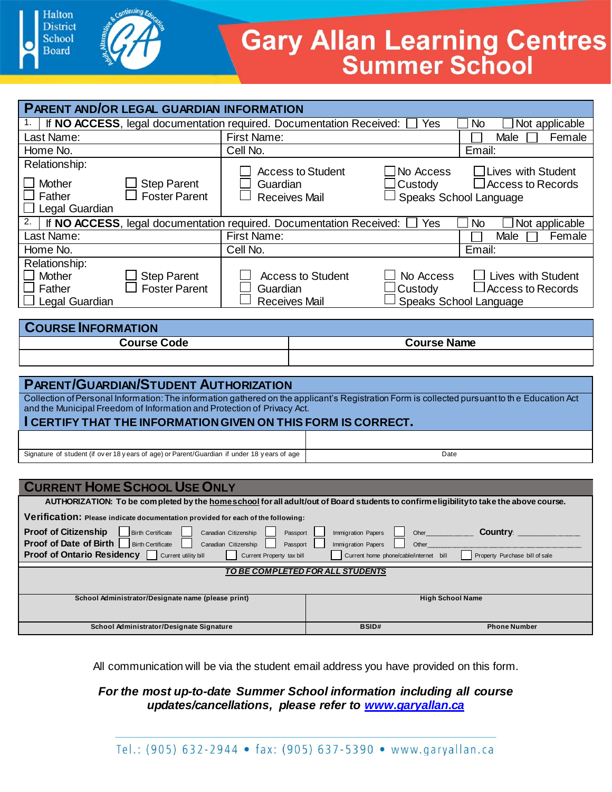

# **Gary Allan Learning Centres**<br>Summer School

|                                                                                                                                                                                                                                                                                       | PARENT AND/OR LEGAL GUARDIAN INFORMATION                                                                  |                                                                     |                         |                                        |                                     |  |  |
|---------------------------------------------------------------------------------------------------------------------------------------------------------------------------------------------------------------------------------------------------------------------------------------|-----------------------------------------------------------------------------------------------------------|---------------------------------------------------------------------|-------------------------|----------------------------------------|-------------------------------------|--|--|
|                                                                                                                                                                                                                                                                                       | If NO ACCESS, legal documentation required. Documentation Received:                                       |                                                                     |                         | Yes                                    | Not applicable<br>No                |  |  |
| Last Name:                                                                                                                                                                                                                                                                            |                                                                                                           | <b>First Name:</b>                                                  | Male<br>Female          |                                        |                                     |  |  |
| Home No.                                                                                                                                                                                                                                                                              |                                                                                                           | Cell No.                                                            |                         |                                        | Email:                              |  |  |
| Relationship:                                                                                                                                                                                                                                                                         |                                                                                                           |                                                                     |                         |                                        |                                     |  |  |
| Mother                                                                                                                                                                                                                                                                                | <b>Step Parent</b>                                                                                        | <b>Access to Student</b><br>$\Box$ No Access<br>□Lives with Student |                         |                                        |                                     |  |  |
| Father                                                                                                                                                                                                                                                                                | <b>Foster Parent</b>                                                                                      | Custody<br><b>Access to Records</b><br>Guardian                     |                         |                                        |                                     |  |  |
| Legal Guardian                                                                                                                                                                                                                                                                        |                                                                                                           | Speaks School Language<br><b>Receives Mail</b>                      |                         |                                        |                                     |  |  |
| 2.                                                                                                                                                                                                                                                                                    | If NO ACCESS, legal documentation required. Documentation Received:<br>Yes<br><b>No</b><br>Not applicable |                                                                     |                         |                                        |                                     |  |  |
| Last Name:                                                                                                                                                                                                                                                                            |                                                                                                           | <b>First Name:</b>                                                  |                         |                                        | Female<br>Male                      |  |  |
| Home No.                                                                                                                                                                                                                                                                              |                                                                                                           | Cell No.                                                            |                         |                                        | Email:                              |  |  |
| Relationship:                                                                                                                                                                                                                                                                         |                                                                                                           |                                                                     |                         |                                        |                                     |  |  |
| Mother                                                                                                                                                                                                                                                                                | <b>Step Parent</b>                                                                                        | <b>Access to Student</b>                                            |                         | No Access                              | <b>Lives with Student</b>           |  |  |
| Father                                                                                                                                                                                                                                                                                | <b>Foster Parent</b>                                                                                      | Guardian                                                            |                         | Custody                                | $\sqcup$ Access to Records          |  |  |
| Legal Guardian                                                                                                                                                                                                                                                                        |                                                                                                           | <b>Receives Mail</b>                                                |                         |                                        | Speaks School Language              |  |  |
|                                                                                                                                                                                                                                                                                       |                                                                                                           |                                                                     |                         |                                        |                                     |  |  |
| <b>COURSE INFORMATION</b>                                                                                                                                                                                                                                                             |                                                                                                           |                                                                     |                         |                                        |                                     |  |  |
| <b>Course Code*</b><br>Section (A, B, C, D, E, or O)                                                                                                                                                                                                                                  |                                                                                                           |                                                                     |                         | <b>Course Name</b>                     |                                     |  |  |
|                                                                                                                                                                                                                                                                                       |                                                                                                           |                                                                     |                         |                                        |                                     |  |  |
|                                                                                                                                                                                                                                                                                       | *To enroll in both Civics and Careers, enter both course codes                                            |                                                                     |                         |                                        |                                     |  |  |
|                                                                                                                                                                                                                                                                                       | <b>PARENT/GUARDIAN/STUDENT AUTHORIZATION</b>                                                              |                                                                     |                         |                                        |                                     |  |  |
|                                                                                                                                                                                                                                                                                       |                                                                                                           |                                                                     |                         |                                        |                                     |  |  |
| Collection of Personal Information: The information gathered on the applicant's Registration Form is collected pursuant to the Education Act and the Municipal Freedom of Information and Protection of Privacy Act.<br>I CERTIFY THAT THE INFORMATION GIVEN ON THIS FORM IS CORRECT. |                                                                                                           |                                                                     |                         |                                        |                                     |  |  |
|                                                                                                                                                                                                                                                                                       |                                                                                                           |                                                                     |                         |                                        |                                     |  |  |
|                                                                                                                                                                                                                                                                                       |                                                                                                           |                                                                     |                         |                                        |                                     |  |  |
| Signature of student (if over 18 years of age) or Parent/Guardian if under 18 years of age                                                                                                                                                                                            |                                                                                                           |                                                                     |                         | Date                                   |                                     |  |  |
|                                                                                                                                                                                                                                                                                       |                                                                                                           |                                                                     |                         |                                        |                                     |  |  |
| <b>CURRENT HOME SCHOOL USE ONLY</b>                                                                                                                                                                                                                                                   |                                                                                                           |                                                                     |                         |                                        |                                     |  |  |
| AUTHORIZATION: To be completed by the homeschool for all adult/out of Board students to confirm eligibility to take the above course.                                                                                                                                                 |                                                                                                           |                                                                     |                         |                                        |                                     |  |  |
|                                                                                                                                                                                                                                                                                       | Verification: Please indicate documentation provided for each of the following:                           |                                                                     |                         |                                        |                                     |  |  |
| <b>Proof of Citizenship</b><br><b>Country:</b><br><b>Birth Certificate</b><br>Canadian Citizenship<br>Immigration Papers<br>Passport<br>Oher                                                                                                                                          |                                                                                                           |                                                                     |                         |                                        |                                     |  |  |
| <b>Proof of Date of Birth</b>                                                                                                                                                                                                                                                         | <b>Birth Certificate</b>                                                                                  | Canadian Citizenship<br>Passport                                    | Immigration Papers      | Other                                  |                                     |  |  |
| Proof of Ontario Residency                                                                                                                                                                                                                                                            | Current utility bill                                                                                      | Current Property tax bill                                           |                         | Current home phone/cable/internet bill | ─<br>Property Purchase bill of sale |  |  |
| TO BE COMPLETED FOR ALL STUDENTS                                                                                                                                                                                                                                                      |                                                                                                           |                                                                     |                         |                                        |                                     |  |  |
|                                                                                                                                                                                                                                                                                       |                                                                                                           |                                                                     |                         |                                        |                                     |  |  |
| School Administrator/Designate name (please print)                                                                                                                                                                                                                                    |                                                                                                           |                                                                     | <b>High School Name</b> |                                        |                                     |  |  |
|                                                                                                                                                                                                                                                                                       |                                                                                                           |                                                                     |                         |                                        |                                     |  |  |
|                                                                                                                                                                                                                                                                                       | School Administrator/Designate Signature                                                                  |                                                                     | <b>BSID#</b>            |                                        | <b>Phone Number</b>                 |  |  |
|                                                                                                                                                                                                                                                                                       |                                                                                                           |                                                                     |                         |                                        |                                     |  |  |

All communication will be via the student email address you have provided on this form.

### *For the most up-to-date Summer School information including all course updates/cancellations, please refer to www.garyallan.ca*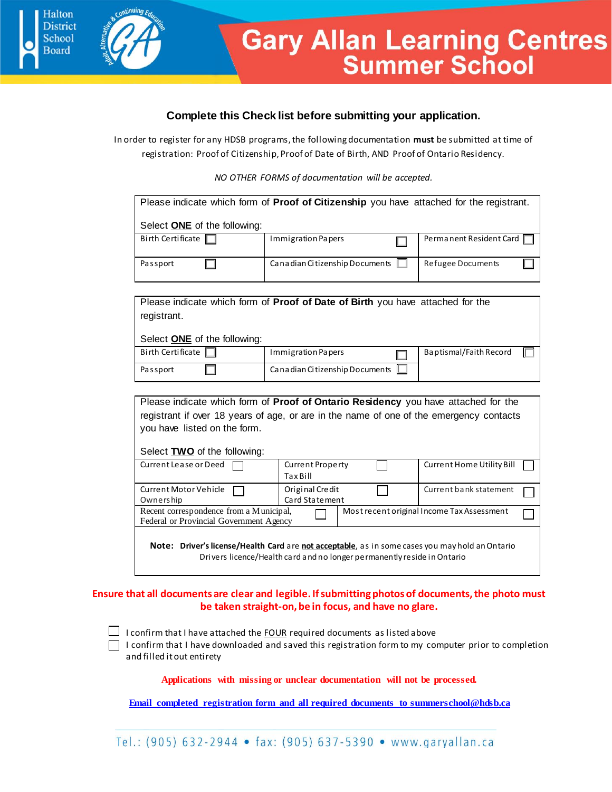

# **Gary Allan Learning Centres**<br>Summer School

#### **Complete this Check list before submitting your application.**

In order to register for any HDSB programs, the following documentation **must** be submitted at time of registration: Proof of Citizenship, Proof of Date of Birth, AND Proof of Ontario Residency.

*NO OTHER FORMS of documentation will be accepted.*

| Please indicate which form of <b>Proof of Citizenship</b> you have attached for the registrant.                                                                            |                                            |                                            |  |  |  |  |
|----------------------------------------------------------------------------------------------------------------------------------------------------------------------------|--------------------------------------------|--------------------------------------------|--|--|--|--|
| Select <b>ONE</b> of the following:                                                                                                                                        |                                            |                                            |  |  |  |  |
| Birth Certificate                                                                                                                                                          | Immigration Papers                         | Permanent Resident Card                    |  |  |  |  |
| Passport                                                                                                                                                                   | Canadian Citizenship Documents             | Refugee Documents                          |  |  |  |  |
|                                                                                                                                                                            |                                            |                                            |  |  |  |  |
| Please indicate which form of <b>Proof of Date of Birth</b> you have attached for the<br>registrant.<br>Select <b>ONE</b> of the following:                                |                                            |                                            |  |  |  |  |
| <b>Birth Certificate</b>                                                                                                                                                   | Immigration Papers                         | Baptismal/Faith Record                     |  |  |  |  |
| Passport                                                                                                                                                                   | Canadian Citizenship Documents             |                                            |  |  |  |  |
|                                                                                                                                                                            |                                            |                                            |  |  |  |  |
| Please indicate which form of Proof of Ontario Residency you have attached for the                                                                                         |                                            |                                            |  |  |  |  |
| registrant if over 18 years of age, or are in the name of one of the emergency contacts                                                                                    |                                            |                                            |  |  |  |  |
| you have listed on the form.                                                                                                                                               |                                            |                                            |  |  |  |  |
| Select <b>TWO</b> of the following:                                                                                                                                        |                                            |                                            |  |  |  |  |
| Current Lease or Deed                                                                                                                                                      | <b>Current Property</b><br><b>Tax Bill</b> | Current Home Utility Bill                  |  |  |  |  |
| Current Motor Vehicle<br>Owners hip                                                                                                                                        | Original Credit<br>Card Statement          | Current bank statement                     |  |  |  |  |
| Recent correspondence from a Municipal,<br>Federal or Provincial Government Agency                                                                                         |                                            | Most recent original Income Tax Assessment |  |  |  |  |
| Note: Driver's license/Health Card are not acceptable, as in some cases you may hold an Ontario<br>Drivers licence/Health card and no longer permanently reside in Ontario |                                            |                                            |  |  |  |  |

#### **Ensure that all documents are clear and legible. If submitting photos of documents, the photo must be taken straight-on, be in focus, and have no glare.**

 $\Box$  I confirm that I have attached the FOUR required documents as listed above I confirm that I have downloaded and saved this registration form to my computer prior to completion and filled it out entirety

**Applications with missing or unclear documentation will not be processed.**

**Email completed registration form and all required documents to summerschool@hdsb.ca**